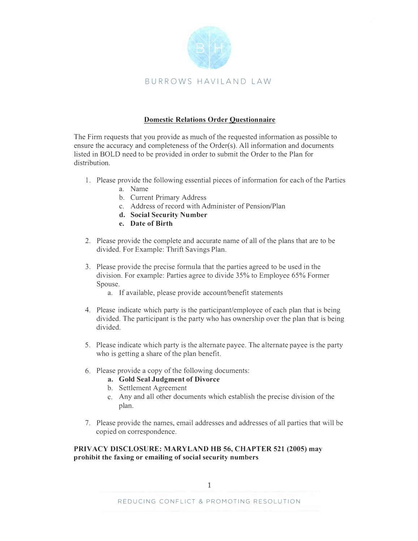

# **Domestic Relations Order Questionnaire**

The Firm requests that you provide as much of the requested information as possible to ensure the accuracy and completeness of the Order(s). All information and documents listed in BOLD need to be provided in order to submit the Order to the Plan for distribution.

- 1. Please provide the following essential pieces of information for each of the Parties
	- a. Name
	- b. Current Primary Address
	- c. Address of record with Administer of Pension/Plan
	- **d. Social Security Number**
	- **e. Date of Birth**
- 2. Please provide the complete and accurate name of all of the plans that are to be divided. For Example: Thrift Savings Plan.
- 3. Please provide the precise formula that the parties agreed to be used in the division. For example: Parties agree to divide 35% to Employee 65% Former Spouse.
	- a. If available, please provide account/benefit statements
- 4. Please indicate which party is the participant/employee of each plan that is being divided. The participant is the party who has ownership over the plan that is being divided.
- 5. Please indicate which party is the alternate payee. The alternate payee is the party who is getting a share of the plan benefit.
- 6. Please provide a copy of the following documents:
	- **a. Gold Seal Judgment of Divorce**
	- b. Settlement Agreement
	- c. Any and all other documents which establish the precise division of the plan.
- 7. Please provide the names, email addresses and addresses of all parties that will be copied on correspondence.

**PRIVACY DISCLOSURE: MARYLAND HB 56, CHAPTER 521 (2005) may prohibit the faxing or emailing of social security numbers**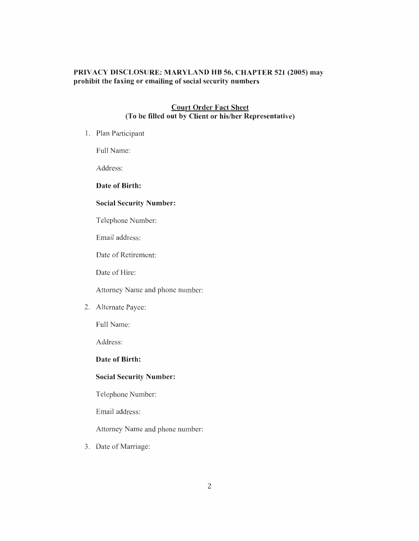# PRIVACY DISCLOSURE: MARYLAND HB 56, CHAPTER 521 (2005) may prohibit the faxing or emailing of social security numbers

## **Court Order Fact Sheet** (To be filled out by Client or his/her Representative)

1. Plan Participant

Full Name:

Address:

# Date of Birth:

## **Social Security Number:**

Telephone Number:

Email address:

Date of Retirement:

Date of Hire:

Attorney Name and phone number:

2. Alternate Payee:

Full Name:

Address:

Date of Birth:

#### **Social Security Number:**

Telephone Number:

Email address:

Attorney Name and phone number:

3. Date of Marriage: